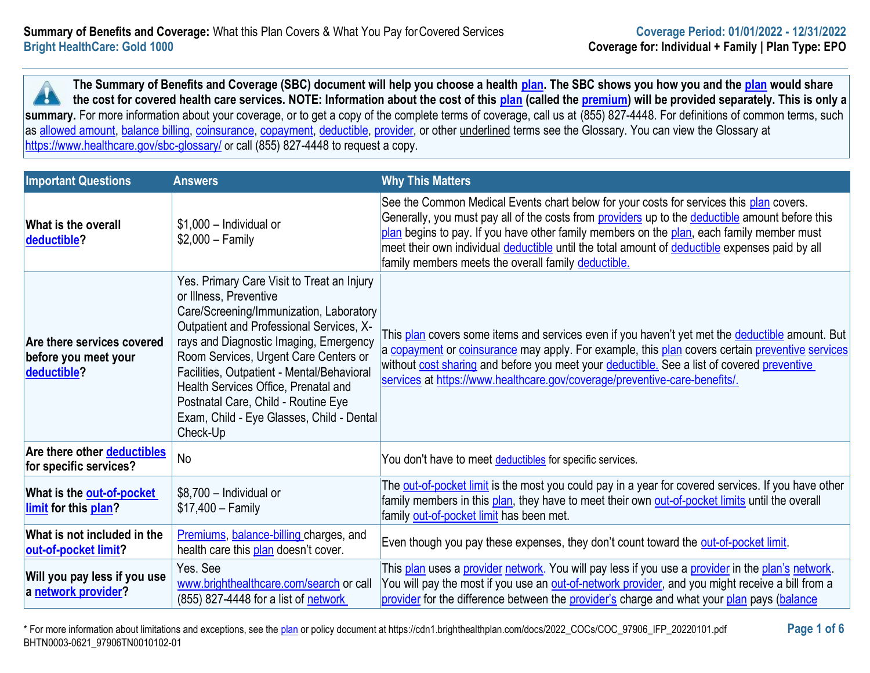**The Summary of Benefits and Coverage (SBC) document will help you choose a health [plan.](https://www.healthcare.gov/sbc-glossary/#plan) The SBC shows you how you and the [plan](https://www.healthcare.gov/sbc-glossary/#plan) would share the cost for covered health care services. NOTE: Information about the cost of this [plan](https://www.healthcare.gov/sbc-glossary/#plan) (called the [premium\)](https://www.healthcare.gov/sbc-glossary/#premium) will be provided separately. This is only a A** summary. For more information about your coverage, or to get a copy of the complete terms of coverage, call us at (855) 827-4448. For definitions of common terms, such as [allowed amount,](https://www.healthcare.gov/sbc-glossary/#allowed-amount) [balance billing,](https://www.healthcare.gov/sbc-glossary/#balance-billing) [coinsurance,](https://www.healthcare.gov/sbc-glossary/#coinsurance) [copayment,](https://www.healthcare.gov/sbc-glossary/#copayment) [deductible,](https://www.healthcare.gov/sbc-glossary/#deductible) [provider,](https://www.healthcare.gov/sbc-glossary/#provider) or other underlined terms see the Glossary. You can view the Glossary at <https://www.healthcare.gov/sbc-glossary/> or call (855) 827-4448 to request a copy.

| <b>Important Questions</b>                                        | <b>Answers</b>                                                                                                                                                                                                                                                                                                                                                                                                                       | <b>Why This Matters</b>                                                                                                                                                                                                                                                                                                                                                                                                                          |
|-------------------------------------------------------------------|--------------------------------------------------------------------------------------------------------------------------------------------------------------------------------------------------------------------------------------------------------------------------------------------------------------------------------------------------------------------------------------------------------------------------------------|--------------------------------------------------------------------------------------------------------------------------------------------------------------------------------------------------------------------------------------------------------------------------------------------------------------------------------------------------------------------------------------------------------------------------------------------------|
| What is the overall<br>deductible?                                | $$1,000$ - Individual or<br>$$2,000 - Family$                                                                                                                                                                                                                                                                                                                                                                                        | See the Common Medical Events chart below for your costs for services this plan covers.<br>Generally, you must pay all of the costs from providers up to the deductible amount before this<br>plan begins to pay. If you have other family members on the plan, each family member must<br>meet their own individual deductible until the total amount of deductible expenses paid by all<br>family members meets the overall family deductible. |
| Are there services covered<br>before you meet your<br>deductible? | Yes. Primary Care Visit to Treat an Injury<br>or Illness, Preventive<br>Care/Screening/Immunization, Laboratory<br>Outpatient and Professional Services, X-<br>rays and Diagnostic Imaging, Emergency<br>Room Services, Urgent Care Centers or<br>Facilities, Outpatient - Mental/Behavioral<br>Health Services Office, Prenatal and<br>Postnatal Care, Child - Routine Eye<br>Exam, Child - Eye Glasses, Child - Dental<br>Check-Up | This plan covers some items and services even if you haven't yet met the <i>deductible</i> amount. But<br>a copayment or coinsurance may apply. For example, this plan covers certain preventive services<br>without <b>cost sharing</b> and before you meet your deductible. See a list of covered preventive<br>services at https://www.healthcare.gov/coverage/preventive-care-benefits/.                                                     |
| Are there other <b>deductibles</b><br>for specific services?      | No                                                                                                                                                                                                                                                                                                                                                                                                                                   | You don't have to meet deductibles for specific services.                                                                                                                                                                                                                                                                                                                                                                                        |
| What is the out-of-pocket<br>limit for this plan?                 | \$8,700 - Individual or<br>$$17,400 - Family$                                                                                                                                                                                                                                                                                                                                                                                        | The <b>out-of-pocket limit</b> is the most you could pay in a year for covered services. If you have other<br>family members in this plan, they have to meet their own out-of-pocket limits until the overall<br>family out-of-pocket limit has been met.                                                                                                                                                                                        |
| What is not included in the<br>out-of-pocket limit?               | Premiums, balance-billing charges, and<br>health care this plan doesn't cover.                                                                                                                                                                                                                                                                                                                                                       | Even though you pay these expenses, they don't count toward the out-of-pocket limit.                                                                                                                                                                                                                                                                                                                                                             |
| Will you pay less if you use<br>a network provider?               | Yes. See<br>www.brighthealthcare.com/search or call<br>(855) 827-4448 for a list of network                                                                                                                                                                                                                                                                                                                                          | This plan uses a provider network. You will pay less if you use a provider in the plan's network.<br>You will pay the most if you use an <b>out-of-network provider</b> , and you might receive a bill from a<br>provider for the difference between the provider's charge and what your plan pays (balance                                                                                                                                      |

\* For more information about limitations and exceptions, see the [plan](https://www.healthcare.gov/sbc-glossary/#plan) or policy document at https://cdn1.brighthealthplan.com/docs/2022\_COCs/COC\_97906\_IFP\_20220101.pdf **Page 1 of 6** BHTN0003-0621\_97906TN0010102-01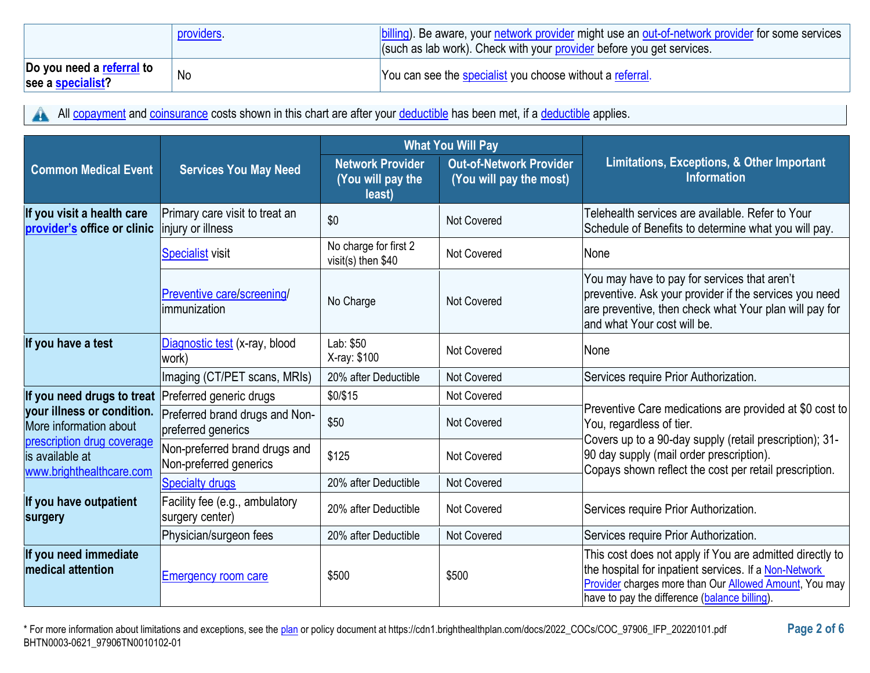|                                                | providers. | billing). Be aware, your network provider might use an out-of-network provider for some services<br>(such as lab work). Check with your provider before you get services. |
|------------------------------------------------|------------|---------------------------------------------------------------------------------------------------------------------------------------------------------------------------|
| Do you need a referral to<br>see a specialist? | No         | You can see the specialist you choose without a referral.                                                                                                                 |

All [copayment](https://www.healthcare.gov/sbc-glossary/#copayment) and [coinsurance](https://www.healthcare.gov/sbc-glossary/#coinsurance) costs shown in this chart are after your [deductible](https://www.healthcare.gov/sbc-glossary/#deductible) has been met, if a deductible applies. A

|                                                                           |                                                         | <b>What You Will Pay</b>                               |                                                           |                                                                                                                                                                                                                                      |  |
|---------------------------------------------------------------------------|---------------------------------------------------------|--------------------------------------------------------|-----------------------------------------------------------|--------------------------------------------------------------------------------------------------------------------------------------------------------------------------------------------------------------------------------------|--|
| <b>Common Medical Event</b>                                               | <b>Services You May Need</b>                            | <b>Network Provider</b><br>(You will pay the<br>least) | <b>Out-of-Network Provider</b><br>(You will pay the most) | Limitations, Exceptions, & Other Important<br><b>Information</b>                                                                                                                                                                     |  |
| If you visit a health care<br>provider's office or clinic                 | Primary care visit to treat an<br>injury or illness     | \$0                                                    | <b>Not Covered</b>                                        | Telehealth services are available. Refer to Your<br>Schedule of Benefits to determine what you will pay.                                                                                                                             |  |
|                                                                           | Specialist visit                                        | No charge for first 2<br>visit(s) then \$40            | <b>Not Covered</b>                                        | <b>None</b>                                                                                                                                                                                                                          |  |
|                                                                           | Preventive care/screening/<br>immunization              | No Charge                                              | <b>Not Covered</b>                                        | You may have to pay for services that aren't<br>preventive. Ask your provider if the services you need<br>are preventive, then check what Your plan will pay for<br>land what Your cost will be.                                     |  |
| If you have a test                                                        | Diagnostic test (x-ray, blood<br>work)                  | Lab: \$50<br>X-ray: \$100                              | <b>Not Covered</b>                                        | None                                                                                                                                                                                                                                 |  |
|                                                                           | Imaging (CT/PET scans, MRIs)                            | 20% after Deductible                                   | <b>Not Covered</b>                                        | Services require Prior Authorization.                                                                                                                                                                                                |  |
| If you need drugs to treat                                                | Preferred generic drugs                                 | \$0/\$15                                               | Not Covered                                               |                                                                                                                                                                                                                                      |  |
| your illness or condition.<br>More information about                      | Preferred brand drugs and Non-<br>preferred generics    | \$50                                                   | Not Covered                                               | Preventive Care medications are provided at \$0 cost to<br>You, regardless of tier.                                                                                                                                                  |  |
| prescription drug coverage<br>is available at<br>www.brighthealthcare.com | Non-preferred brand drugs and<br>Non-preferred generics | \$125                                                  | <b>Not Covered</b>                                        | Covers up to a 90-day supply (retail prescription); 31-<br>90 day supply (mail order prescription).<br>Copays shown reflect the cost per retail prescription.                                                                        |  |
|                                                                           | <b>Specialty drugs</b>                                  | 20% after Deductible                                   | Not Covered                                               |                                                                                                                                                                                                                                      |  |
| If you have outpatient<br>surgery                                         | Facility fee (e.g., ambulatory<br>surgery center)       | 20% after Deductible                                   | <b>Not Covered</b>                                        | Services require Prior Authorization.                                                                                                                                                                                                |  |
|                                                                           | Physician/surgeon fees                                  | 20% after Deductible                                   | Not Covered                                               | Services require Prior Authorization.                                                                                                                                                                                                |  |
| If you need immediate<br><b>medical attention</b>                         | Emergency room care                                     | \$500                                                  | \$500                                                     | This cost does not apply if You are admitted directly to<br>the hospital for inpatient services. If a Non-Network<br>Provider charges more than Our <b>Allowed Amount</b> , You may<br>have to pay the difference (balance billing). |  |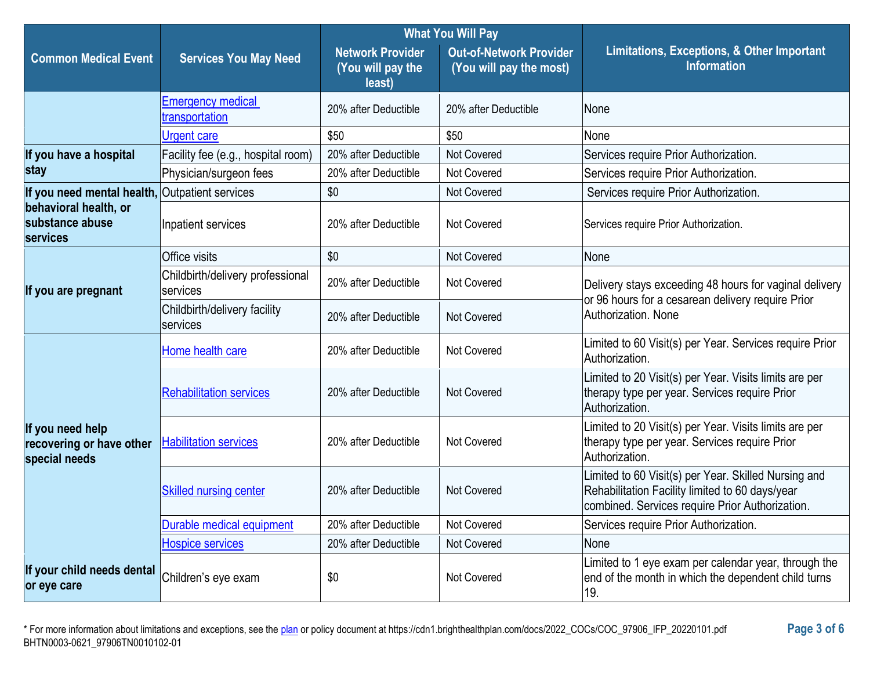|                                                               |                                              | <b>What You Will Pay</b>                               |                                                           |                                                                                                                                                            |  |
|---------------------------------------------------------------|----------------------------------------------|--------------------------------------------------------|-----------------------------------------------------------|------------------------------------------------------------------------------------------------------------------------------------------------------------|--|
| <b>Common Medical Event</b>                                   | <b>Services You May Need</b>                 | <b>Network Provider</b><br>(You will pay the<br>least) | <b>Out-of-Network Provider</b><br>(You will pay the most) | Limitations, Exceptions, & Other Important<br><b>Information</b>                                                                                           |  |
|                                                               | <b>Emergency medical</b><br>transportation   | 20% after Deductible                                   | 20% after Deductible                                      | None                                                                                                                                                       |  |
|                                                               | <b>Urgent care</b>                           | \$50                                                   | \$50                                                      | None                                                                                                                                                       |  |
| If you have a hospital                                        | Facility fee (e.g., hospital room)           | 20% after Deductible                                   | Not Covered                                               | Services require Prior Authorization.                                                                                                                      |  |
| stay                                                          | Physician/surgeon fees                       | 20% after Deductible                                   | Not Covered                                               | Services require Prior Authorization.                                                                                                                      |  |
| If you need mental health, Outpatient services                |                                              | \$0                                                    | <b>Not Covered</b>                                        | Services require Prior Authorization.                                                                                                                      |  |
| behavioral health, or<br>substance abuse<br><b>services</b>   | Inpatient services                           | 20% after Deductible                                   | Not Covered                                               | Services require Prior Authorization.                                                                                                                      |  |
|                                                               | <b>Office visits</b>                         | \$0                                                    | <b>Not Covered</b>                                        | None                                                                                                                                                       |  |
| If you are pregnant                                           | Childbirth/delivery professional<br>services | 20% after Deductible                                   | <b>Not Covered</b>                                        | Delivery stays exceeding 48 hours for vaginal delivery<br>or 96 hours for a cesarean delivery require Prior<br>Authorization. None                         |  |
|                                                               | Childbirth/delivery facility<br>services     | 20% after Deductible                                   | <b>Not Covered</b>                                        |                                                                                                                                                            |  |
|                                                               | Home health care                             | 20% after Deductible                                   | <b>Not Covered</b>                                        | Limited to 60 Visit(s) per Year. Services require Prior<br>Authorization.                                                                                  |  |
| If you need help<br>recovering or have other<br>special needs | <b>Rehabilitation services</b>               | 20% after Deductible                                   | <b>Not Covered</b>                                        | Limited to 20 Visit(s) per Year. Visits limits are per<br>therapy type per year. Services require Prior<br>Authorization.                                  |  |
|                                                               | <b>Habilitation services</b>                 | 20% after Deductible                                   | <b>Not Covered</b>                                        | Limited to 20 Visit(s) per Year. Visits limits are per<br>therapy type per year. Services require Prior<br>Authorization.                                  |  |
|                                                               | <b>Skilled nursing center</b>                | 20% after Deductible                                   | <b>Not Covered</b>                                        | Limited to 60 Visit(s) per Year. Skilled Nursing and<br>Rehabilitation Facility limited to 60 days/year<br>combined. Services require Prior Authorization. |  |
|                                                               | Durable medical equipment                    | 20% after Deductible                                   | Not Covered                                               | Services require Prior Authorization.                                                                                                                      |  |
|                                                               | <b>Hospice services</b>                      | 20% after Deductible                                   | <b>Not Covered</b>                                        | None                                                                                                                                                       |  |
| If your child needs dental<br>or eye care                     | Children's eye exam                          | \$0                                                    | Not Covered                                               | Limited to 1 eye exam per calendar year, through the<br>end of the month in which the dependent child turns<br>19.                                         |  |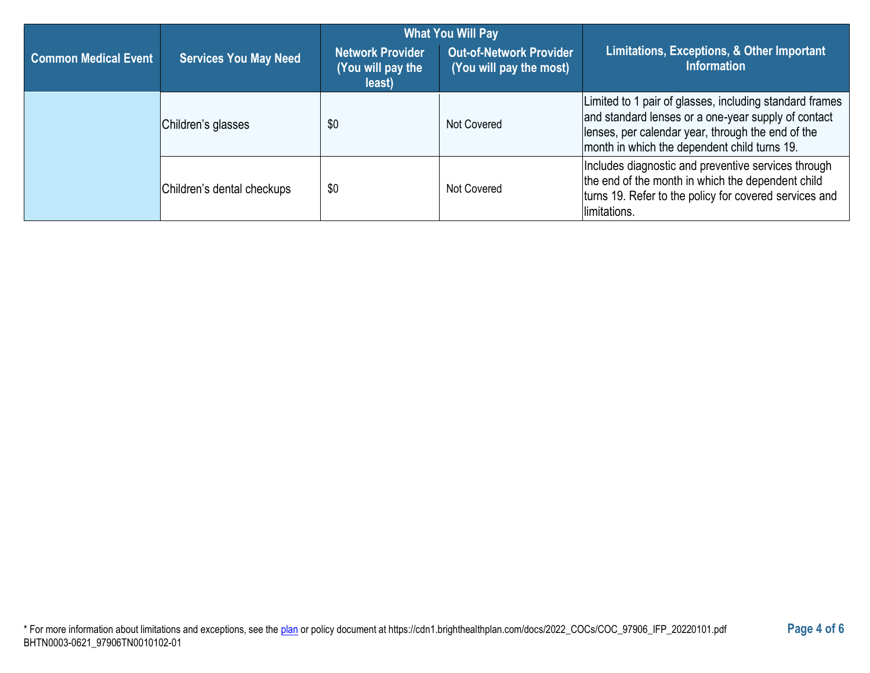|                             |                              | <b>What You Will Pay</b>                               |                                                           |                                                                                                                                                                                                                     |  |
|-----------------------------|------------------------------|--------------------------------------------------------|-----------------------------------------------------------|---------------------------------------------------------------------------------------------------------------------------------------------------------------------------------------------------------------------|--|
| <b>Common Medical Event</b> | <b>Services You May Need</b> | <b>Network Provider</b><br>(You will pay the<br>least) | <b>Out-of-Network Provider</b><br>(You will pay the most) | Limitations, Exceptions, & Other Important<br><b>Information</b>                                                                                                                                                    |  |
|                             | Children's glasses           | \$0                                                    | Not Covered                                               | Limited to 1 pair of glasses, including standard frames<br>and standard lenses or a one-year supply of contact<br>lenses, per calendar year, through the end of the<br>month in which the dependent child turns 19. |  |
|                             | Children's dental checkups   | \$0                                                    | Not Covered                                               | Includes diagnostic and preventive services through<br>the end of the month in which the dependent child<br>turns 19. Refer to the policy for covered services and<br>limitations.                                  |  |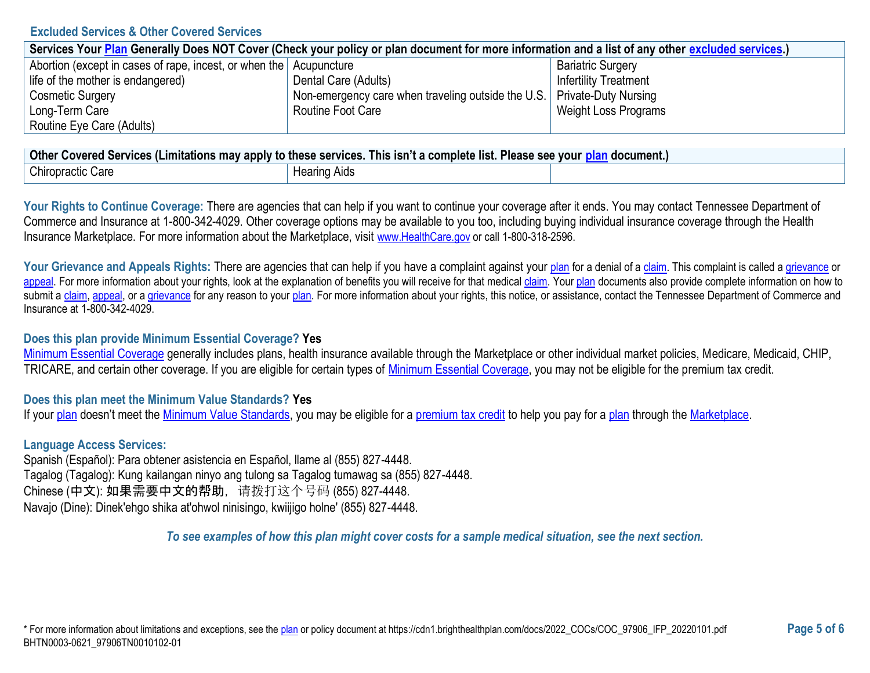#### **Excluded Services & Other Covered Services**

| Services Your Plan Generally Does NOT Cover (Check your policy or plan document for more information and a list of any other excluded services.) |                                                                           |                              |  |  |
|--------------------------------------------------------------------------------------------------------------------------------------------------|---------------------------------------------------------------------------|------------------------------|--|--|
| Abortion (except in cases of rape, incest, or when the Acupuncture                                                                               |                                                                           | <b>Bariatric Surgery</b>     |  |  |
| life of the mother is endangered)                                                                                                                | Dental Care (Adults)                                                      | <b>Infertility Treatment</b> |  |  |
| <b>Cosmetic Surgery</b>                                                                                                                          | Non-emergency care when traveling outside the U.S.   Private-Duty Nursing |                              |  |  |
| Long-Term Care                                                                                                                                   | Routine Foot Care                                                         | Weight Loss Programs         |  |  |
| Routine Eye Care (Adults)                                                                                                                        |                                                                           |                              |  |  |

| ∣ Other Covered Services (Limitations may apply to these services. This isn't a complete list. Please see your <u>plan</u> document.) |              |  |  |
|---------------------------------------------------------------------------------------------------------------------------------------|--------------|--|--|
| Chiropractic Care                                                                                                                     | Hearing Aids |  |  |

Your Rights to Continue Coverage: There are agencies that can help if you want to continue your coverage after it ends. You may contact Tennessee Department of Commerce and Insurance at 1-800-342-4029. Other coverage options may be available to you too, including buying individual insurance coverage through the Health Insurance Marketplace. For more information about the Marketplace, visit [www.HealthCare.gov](https://www.healthcare.gov/) or call 1-800-318-2596.

Your Grievance and Appeals Rights: There are agencies that can help if you have a complaint against your [plan](https://www.healthcare.gov/sbc-glossary/#plan) for a denial of [a claim.](https://www.healthcare.gov/sbc-glossary/#claim) This complaint is called a [grievance](https://www.healthcare.gov/sbc-glossary/#grievance) or [appeal.](https://www.healthcare.gov/sbc-glossary/#appeal) For more information about your rights, look at the explanation of benefits you will receive for that medical [claim.](https://www.healthcare.gov/sbc-glossary/#claim) You[r plan](https://www.healthcare.gov/sbc-glossary/#plan) documents also provide complete information on how to submit a [claim,](https://www.healthcare.gov/sbc-glossary/#claim) [appeal,](https://www.healthcare.gov/sbc-glossary/#appeal) or [a grievance](https://www.healthcare.gov/sbc-glossary/#grievance) for any reason to your [plan.](https://www.healthcare.gov/sbc-glossary/#plan) For more information about your rights, this notice, or assistance, contact the Tennessee Department of Commerce and Insurance at 1-800-342-4029.

### **Does this plan provide Minimum Essential Coverage? Yes**

[Minimum Essential Coverage](https://www.healthcare.gov/sbc-glossary/#minimum-essential-coverage) generally includes plans, health insurance available through the Marketplace or other individual market policies, Medicare, Medicaid, CHIP, TRICARE, and certain other coverage. If you are eligible for certain types of [Minimum Essential Coverage,](https://www.healthcare.gov/sbc-glossary/#minimum-essential-coverage) you may not be eligible for the premium tax credit.

## **Does this plan meet the Minimum Value Standards? Yes**

If you[r plan](https://www.healthcare.gov/sbc-glossary/#plan) doesn't meet the [Minimum Value Standards,](https://www.healthcare.gov/sbc-glossary/#minimum-value-standard) you may be eligible for a [premium tax credit](https://www.healthcare.gov/sbc-glossary/#premium-tax-credits) to help you pay for a [plan](https://www.healthcare.gov/sbc-glossary/#plan) through the [Marketplace.](https://www.healthcare.gov/sbc-glossary/#marketplace)

## **Language Access Services:**

Spanish (Español): Para obtener asistencia en Español, llame al (855) 827-4448. Tagalog (Tagalog): Kung kailangan ninyo ang tulong sa Tagalog tumawag sa (855) 827-4448. Chinese (中文): 如果需要中文的帮助,请拨打这个号码 (855) 827-4448. Navajo (Dine): Dinek'ehgo shika at'ohwol ninisingo, kwiijigo holne' (855) 827-4448.

*To see examples of how this plan might cover costs for a sample medical situation, see the next section.*